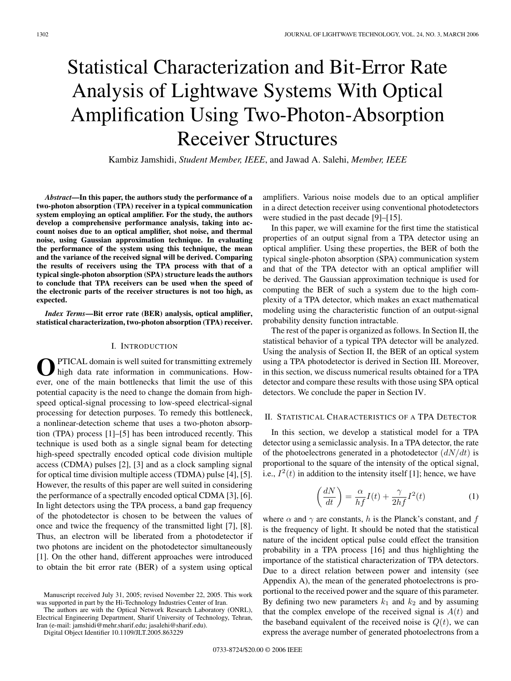# Statistical Characterization and Bit-Error Rate Analysis of Lightwave Systems With Optical Amplification Using Two-Photon-Absorption Receiver Structures

Kambiz Jamshidi, *Student Member, IEEE*, and Jawad A. Salehi, *Member, IEEE*

*Abstract***—In this paper, the authors study the performance of a two-photon absorption (TPA) receiver in a typical communication system employing an optical amplifier. For the study, the authors develop a comprehensive performance analysis, taking into account noises due to an optical amplifier, shot noise, and thermal noise, using Gaussian approximation technique. In evaluating the performance of the system using this technique, the mean and the variance of the received signal will be derived. Comparing the results of receivers using the TPA process with that of a typical single-photon absorption (SPA) structure leads the authors to conclude that TPA receivers can be used when the speed of the electronic parts of the receiver structures is not too high, as expected.**

*Index Terms***—Bit error rate (BER) analysis, optical amplifier, statistical characterization, two-photon absorption (TPA) receiver.**

### I. INTRODUCTION

PTICAL domain is well suited for transmitting extremely high data rate information in communications. However, one of the main bottlenecks that limit the use of this potential capacity is the need to change the domain from highspeed optical-signal processing to low-speed electrical-signal processing for detection purposes. To remedy this bottleneck, a nonlinear-detection scheme that uses a two-photon absorption (TPA) process [1]–[5] has been introduced recently. This technique is used both as a single signal beam for detecting high-speed spectrally encoded optical code division multiple access (CDMA) pulses [2], [3] and as a clock sampling signal for optical time division multiple access (TDMA) pulse [4], [5]. However, the results of this paper are well suited in considering the performance of a spectrally encoded optical CDMA [3], [6]. In light detectors using the TPA process, a band gap frequency of the photodetector is chosen to be between the values of once and twice the frequency of the transmitted light [7], [8]. Thus, an electron will be liberated from a photodetector if two photons are incident on the photodetector simultaneously [1]. On the other hand, different approaches were introduced to obtain the bit error rate (BER) of a system using optical

The authors are with the Optical Network Research Laboratory (ONRL), Electrical Engineering Department, Sharif University of Technology, Tehran, Iran (e-mail: jamshidi@mehr.sharif.edu; jasalehi@sharif.edu).

Digital Object Identifier 10.1109/JLT.2005.863229

amplifiers. Various noise models due to an optical amplifier in a direct detection receiver using conventional photodetectors were studied in the past decade [9]–[15].

In this paper, we will examine for the first time the statistical properties of an output signal from a TPA detector using an optical amplifier. Using these properties, the BER of both the typical single-photon absorption (SPA) communication system and that of the TPA detector with an optical amplifier will be derived. The Gaussian approximation technique is used for computing the BER of such a system due to the high complexity of a TPA detector, which makes an exact mathematical modeling using the characteristic function of an output-signal probability density function intractable.

The rest of the paper is organized as follows. In Section II, the statistical behavior of a typical TPA detector will be analyzed. Using the analysis of Section II, the BER of an optical system using a TPA photodetector is derived in Section III. Moreover, in this section, we discuss numerical results obtained for a TPA detector and compare these results with those using SPA optical detectors. We conclude the paper in Section IV.

#### II. STATISTICAL CHARACTERISTICS OF A TPA DETECTOR

In this section, we develop a statistical model for a TPA detector using a semiclassic analysis. In a TPA detector, the rate of the photoelectrons generated in a photodetector  $\left(\frac{dN}{dt}\right)$  is proportional to the square of the intensity of the optical signal, i.e.,  $I^2(t)$  in addition to the intensity itself [1]; hence, we have

$$
\left(\frac{dN}{dt}\right) = \frac{\alpha}{hf}I(t) + \frac{\gamma}{2hf}I^2(t)
$$
\n(1)

where  $\alpha$  and  $\gamma$  are constants, h is the Planck's constant, and f is the frequency of light. It should be noted that the statistical nature of the incident optical pulse could effect the transition probability in a TPA process [16] and thus highlighting the importance of the statistical characterization of TPA detectors. Due to a direct relation between power and intensity (see Appendix A), the mean of the generated photoelectrons is proportional to the received power and the square of this parameter. By defining two new parameters  $k_1$  and  $k_2$  and by assuming that the complex envelope of the received signal is  $A(t)$  and the baseband equivalent of the received noise is  $Q(t)$ , we can express the average number of generated photoelectrons from a

Manuscript received July 31, 2005; revised November 22, 2005. This work was supported in part by the Hi-Technology Industries Center of Iran.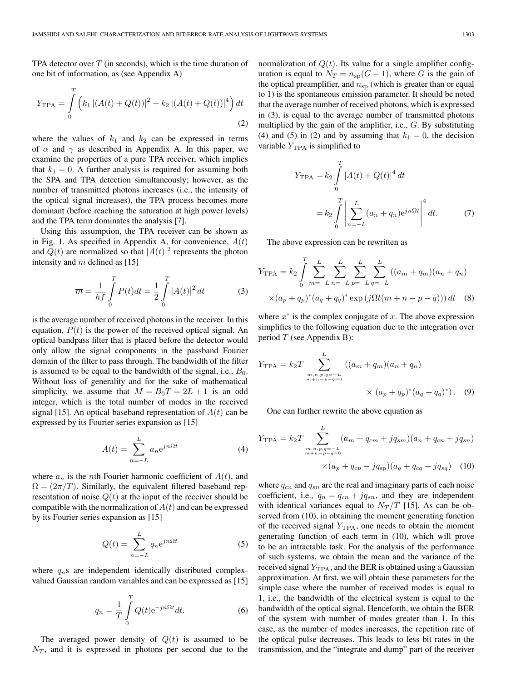TPA detector over  $T$  (in seconds), which is the time duration of one bit of information, as (see Appendix A)

$$
Y_{\text{TPA}} = \int_{0}^{T} \left( k_1 \left| (A(t) + Q(t)) \right|^2 + k_2 \left| (A(t) + Q(t)) \right|^4 \right) dt
$$
\n(2)

where the values of  $k_1$  and  $k_2$  can be expressed in terms of  $\alpha$  and  $\gamma$  as described in Appendix A. In this paper, we examine the properties of a pure TPA receiver, which implies that  $k_1 = 0$ . A further analysis is required for assuming both the SPA and TPA detection simultaneously; however, as the number of transmitted photons increases (i.e., the intensity of the optical signal increases), the TPA process becomes more dominant (before reaching the saturation at high power levels) and the TPA term dominates the analysis [7].

Using this assumption, the TPA receiver can be shown as in Fig. 1. As specified in Appendix A, for convenience,  $A(t)$ and  $Q(t)$  are normalized so that  $|A(t)|^2$  represents the photon intensity and  $\overline{m}$  defined as [15]

$$
\overline{m} = \frac{1}{hf} \int_{0}^{T} P(t)dt = \frac{1}{2} \int_{0}^{T} |A(t)|^{2} dt
$$
 (3)

is the average number of received photons in the receiver. In this equation,  $P(t)$  is the power of the received optical signal. An optical bandpass filter that is placed before the detector would only allow the signal components in the passband Fourier domain of the filter to pass through. The bandwidth of the filter is assumed to be equal to the bandwidth of the signal, i.e.,  $B_0$ . Without loss of generality and for the sake of mathematical simplicity, we assume that  $M = B_0T = 2L + 1$  is an odd integer, which is the total number of modes in the received signal [15]. An optical baseband representation of  $A(t)$  can be expressed by its Fourier series expansion as [15]

$$
A(t) = \sum_{n=-L}^{L} a_n e^{jn\Omega t}
$$
 (4)

where  $a_n$  is the *n*th Fourier harmonic coefficient of  $A(t)$ , and  $\Omega = (2\pi/T)$ . Similarly, the equivalent filtered baseband representation of noise  $Q(t)$  at the input of the receiver should be compatible with the normalization of  $A(t)$  and can be expressed by its Fourier series expansion as [15]

$$
Q(t) = \sum_{n=-L}^{L} q_n e^{jn\Omega t}
$$
 (5)

where  $q_n$ s are independent identically distributed complexvalued Gaussian random variables and can be expressed as [15]

$$
q_n = \frac{1}{T} \int\limits_0^T Q(t) e^{-jn\Omega t} dt.
$$
 (6)

The averaged power density of  $Q(t)$  is assumed to be  $N_T$ , and it is expressed in photons per second due to the

normalization of  $Q(t)$ . Its value for a single amplifier configuration is equal to  $N_T = n_{sp}(G-1)$ , where G is the gain of the optical preamplifier, and  $n_{sp}$  (which is greater than or equal to 1) is the spontaneous emission parameter. It should be noted that the average number of received photons, which is expressed in (3), is equal to the average number of transmitted photons multiplied by the gain of the amplifier, i.e., G. By substituting (4) and (5) in (2) and by assuming that  $k_1 = 0$ , the decision variable  $Y_{TPA}$  is simplified to

$$
Y_{\text{TPA}} = k_2 \int_0^T |A(t) + Q(t)|^4 dt
$$
  
=  $k_2 \int_0^T \left| \sum_{n=-L}^L (a_n + q_n) e^{jn\Omega t} \right|^4 dt.$  (7)

The above expression can be rewritten as

$$
Y_{\text{TPA}} = k_2 \int_0^T \sum_{m=-L}^L \sum_{n=-L}^L \sum_{p=-L}^L \sum_{q=-L}^L ((a_m + q_m)(a_n + q_n) \times (a_p + q_p)^*(a_q + q_q)^* \exp(j\Omega t(m + n - p - q))) dt
$$
 (8)

where  $x^*$  is the complex conjugate of x. The above expression simplifies to the following equation due to the integration over period  $T$  (see Appendix B):

$$
Y_{\text{TPA}} = k_2 T \sum_{\substack{m,n,p,q=-L \\ m+n-p-q=0}}^{L} ((a_m + q_m)(a_n + q_n) \times (a_p + q_p)^* (a_q + q_q)^*).
$$
 (9)

One can further rewrite the above equation as

$$
Y_{\text{TPA}} = k_2 T \sum_{\substack{m,n,p,q=-L\\m+n-p-q=0}}^{L} (a_m + q_{cm} + j q_{sm}) (a_n + q_{cn} + j q_{sn})
$$

$$
\times (a_p + q_{cp} - j q_{sp}) (a_q + q_{cq} - j q_{sq}) \quad (10)
$$

where  $q_{cn}$  and  $q_{sn}$  are the real and imaginary parts of each noise coefficient, i.e.,  $q_n = q_{cn} + jq_{sn}$ , and they are independent with identical variances equal to  $N_T/T$  [15]. As can be observed from  $(10)$ , in obtaining the moment generating function of the received signal  $Y_{\text{TPA}}$ , one needs to obtain the moment generating function of each term in (10), which will prove to be an intractable task. For the analysis of the performance of such systems, we obtain the mean and the variance of the received signal  $Y_{\text{TPA}}$ , and the BER is obtained using a Gaussian approximation. At first, we will obtain these parameters for the simple case where the number of received modes is equal to 1, i.e., the bandwidth of the electrical system is equal to the bandwidth of the optical signal. Henceforth, we obtain the BER of the system with number of modes greater than 1. In this case, as the number of modes increases, the repetition rate of the optical pulse decreases. This leads to less bit rates in the transmission, and the "integrate and dump" part of the receiver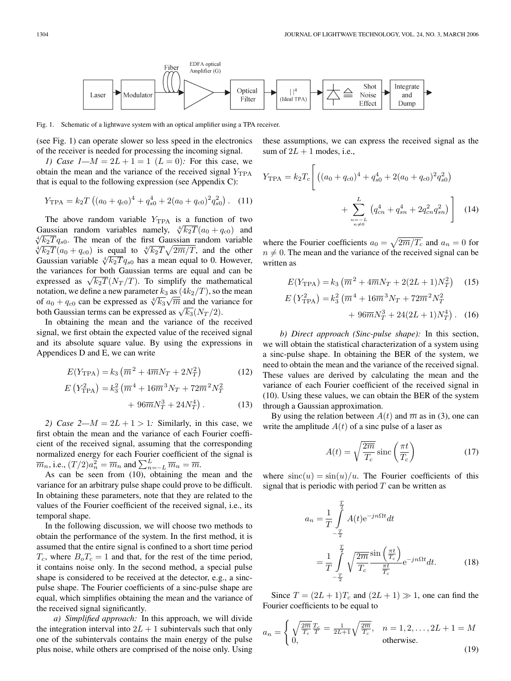EDFA optical Fiber Amplifier (G) Shot Integrate Optical Modulator Noise Laser and Filter (Ideal TPA) Effect Dump

Fig. 1. Schematic of a lightwave system with an optical amplifier using a TPA receiver.

(see Fig. 1) can operate slower so less speed in the electronics of the receiver is needed for processing the incoming signal.

*1)* Case  $1-M = 2L + 1 = 1$   $(L = 0)$ : For this case, we obtain the mean and the variance of the received signal  $Y_{TPA}$ that is equal to the following expression (see Appendix C):

$$
Y_{\text{TPA}} = k_2 T \left( (a_0 + q_{c0})^4 + q_{s0}^4 + 2(a_0 + q_{c0})^2 q_{s0}^2 \right). \tag{11}
$$

The above random variable  $Y_{TPA}$  is a function of two Gaussian random variables namely,  $\sqrt[4]{k_2T}(a_0 + q_{c0})$  and  $\sqrt[4]{k_2T}q_{s0}$ . The mean of the first Gaussian random variable  $\sqrt[k]{k_2T(a_0 + q_{c0})}$  is equal to  $\sqrt[k]{k_2T}\sqrt{2m/T}$ , and the other Gaussian variable  $\sqrt[4]{k_2T}q_{s0}$  has a mean equal to 0. However, the variances for both Gaussian terms are equal and can be expressed as  $\sqrt{k_2T}(N_T/T)$ . To simplify the mathematical notation, we define a new parameter  $k_3$  as  $(4k_2/T)$ , so the mean of  $a_0 + q_{c0}$  can be expressed as  $\sqrt[4]{k_3}\sqrt{\overline{m}}$  and the variance for both Gaussian terms can be expressed as  $\sqrt{k_3}(N_T/2)$ .

In obtaining the mean and the variance of the received signal, we first obtain the expected value of the received signal and its absolute square value. By using the expressions in Appendices D and E, we can write

$$
E(Y_{\rm TPA}) = k_3 \left( \overline{m}^2 + 4 \overline{m} N_T + 2N_T^2 \right)
$$
 (12)

$$
E\left(Y_{\text{TPA}}^2\right) = k_3^2 \left(\overline{m}^4 + 16\overline{m}^3 N_T + 72\overline{m}^2 N_T^2 + 96\overline{m} N_T^3 + 24N_T^4\right). \tag{13}
$$

*2)* Case  $2-M = 2L + 1 > 1$ : Similarly, in this case, we first obtain the mean and the variance of each Fourier coefficient of the received signal, assuming that the corresponding normalized energy for each Fourier coefficient of the signal is  $\overline{m}_n$ , i.e.,  $(T/2)a_n^2 = \overline{m}_n$  and  $\sum_{n=-L}^{L} \overline{m}_n = \overline{m}$ .

As can be seen from (10), obtaining the mean and the variance for an arbitrary pulse shape could prove to be difficult. In obtaining these parameters, note that they are related to the values of the Fourier coefficient of the received signal, i.e., its temporal shape.

In the following discussion, we will choose two methods to obtain the performance of the system. In the first method, it is assumed that the entire signal is confined to a short time period  $T_c$ , where  $B_oT_c = 1$  and that, for the rest of the time period, it contains noise only. In the second method, a special pulse shape is considered to be received at the detector, e.g., a sincpulse shape. The Fourier coefficients of a sinc-pulse shape are equal, which simplifies obtaining the mean and the variance of the received signal significantly.

*a) Simplified approach:* In this approach, we will divide the integration interval into  $2L + 1$  subintervals such that only one of the subintervals contains the main energy of the pulse plus noise, while others are comprised of the noise only. Using these assumptions, we can express the received signal as the sum of  $2L + 1$  modes, i.e.,

$$
Y_{\text{TPA}} = k_2 T_c \left[ \left( (a_0 + q_{c0})^4 + q_{s0}^4 + 2(a_0 + q_{c0})^2 q_{s0}^2 \right) + \sum_{\substack{n=-L \\ n \neq 0}}^L \left( q_{cn}^4 + q_{sn}^4 + 2q_{cn}^2 q_{sn}^2 \right) \right] \tag{14}
$$

where the Fourier coefficients  $a_0 = \sqrt{2m/T_c}$  and  $a_n = 0$  for  $n \neq 0$ . The mean and the variance of the received signal can be written as

$$
E(Y_{\text{TPA}}) = k_3 \left( \overline{m}^2 + 4\overline{m} N_T + 2(2L + 1) N_T^2 \right) \quad (15)
$$
  
\n
$$
E(Y_{\text{TPA}}^2) = k_3^2 \left( \overline{m}^4 + 16\overline{m}^3 N_T + 72\overline{m}^2 N_T^2 + 96\overline{m} N_T^3 + 24(2L + 1) N_T^4 \right). \quad (16)
$$

*b) Direct approach (Sinc-pulse shape):* In this section, we will obtain the statistical characterization of a system using a sinc-pulse shape. In obtaining the BER of the system, we need to obtain the mean and the variance of the received signal. These values are derived by calculating the mean and the variance of each Fourier coefficient of the received signal in (10). Using these values, we can obtain the BER of the system through a Gaussian approximation.

By using the relation between  $A(t)$  and  $\overline{m}$  as in (3), one can write the amplitude  $A(t)$  of a sinc pulse of a laser as

$$
A(t) = \sqrt{\frac{2\overline{m}}{T_c}} \operatorname{sinc}\left(\frac{\pi t}{T_c}\right) \tag{17}
$$

where  $\text{sinc}(u) = \sin(u)/u$ . The Fourier coefficients of this signal that is periodic with period  $T$  can be written as

$$
a_n = \frac{1}{T} \int_{-\frac{T}{2}}^{\frac{T}{2}} A(t) e^{-jn\Omega t} dt
$$
  

$$
= \frac{1}{T} \int_{-\frac{T}{2}}^{\frac{T}{2}} \sqrt{\frac{2\overline{m}}{T_c}} \frac{\sin\left(\frac{\pi t}{T_c}\right)}{\frac{\pi t}{T_c}} e^{-jn\Omega t} dt.
$$
 (18)

Since  $T = (2L + 1)T_c$  and  $(2L + 1) \gg 1$ , one can find the Fourier coefficients to be equal to

$$
a_n = \begin{cases} \sqrt{\frac{2\overline{m}}{T_c}} \frac{T_c}{T} = \frac{1}{2L+1} \sqrt{\frac{2\overline{m}}{T_c}}, & n = 1, 2, \dots, 2L+1 = M \\ 0, & \text{otherwise.} \end{cases}
$$
(19)

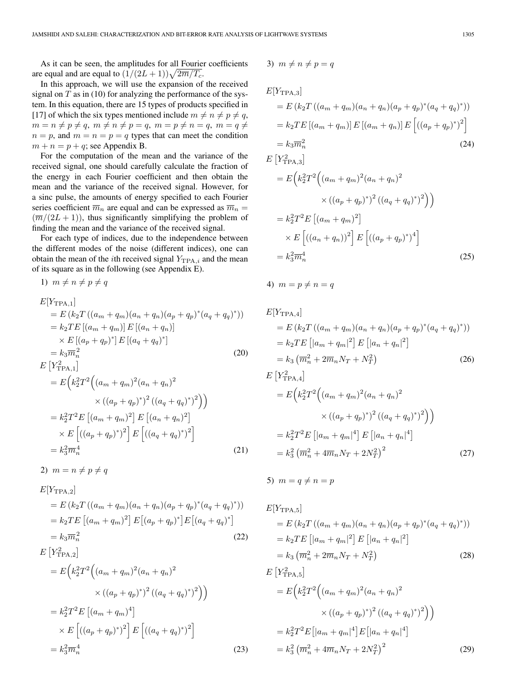As it can be seen, the amplitudes for all Fourier coefficients are equal and are equal to  $(1/(2L+1))\sqrt{2\overline{m}/T_c}$ .

In this approach, we will use the expansion of the received signal on  $T$  as in (10) for analyzing the performance of the system. In this equation, there are 15 types of products specified in [17] of which the six types mentioned include  $m \neq n \neq p \neq q$ ,  $m = n \neq p \neq q, m \neq n \neq p = q, m = p \neq n = q, m = q \neq$  $n = p$ , and  $m = n = p = q$  types that can meet the condition  $m + n = p + q$ ; see Appendix B.

For the computation of the mean and the variance of the received signal, one should carefully calculate the fraction of the energy in each Fourier coefficient and then obtain the mean and the variance of the received signal. However, for a sinc pulse, the amounts of energy specified to each Fourier series coefficient  $\overline{m}_n$  are equal and can be expressed as  $\overline{m}_n =$  $(\overline{m}/(2L+1))$ , thus significantly simplifying the problem of finding the mean and the variance of the received signal.

For each type of indices, due to the independence between the different modes of the noise (different indices), one can obtain the mean of the *i*th received signal  $Y_{TPA,i}$  and the mean of its square as in the following (see Appendix E).

1)  $m \neq n \neq p \neq q$ 

$$
E[Y_{\text{TPA},1}]
$$
  
=  $E (k_2 T ((a_m + q_m)(a_n + q_n)(a_p + q_p)^*(a_q + q_q)^*))$   
=  $k_2 TE [(a_m + q_m)] E [(a_n + q_n)]$   
 $\times E [(a_p + q_p)^*] E [(a_q + q_q)^*]$   
=  $k_3 \overline{m}_n^2$  (20)  
 $E [Y_{\text{TPA},1}^2]$ 

$$
= E\left(k_2^2 T^2 \Big((a_m + q_m)^2 (a_n + q_n)^2\right)
$$
  
\n
$$
\times ((a_p + q_p)^*)^2 ((a_q + q_q)^*)^2)
$$
  
\n
$$
= k_2^2 T^2 E \Big[(a_m + q_m)^2\Big] E \Big[(a_n + q_n)^2\Big]
$$
  
\n
$$
\times E \Big[((a_p + q_p)^*)^2\Big] E \Big[((a_q + q_q)^*)^2\Big]
$$
  
\n
$$
= k_3^2 \overline{m}_n^4
$$
 (21)

2)  $m = n \neq p \neq q$ 

$$
E[Y_{\text{TPA},2}]
$$
  
=  $E (k_2 T ((a_m + q_m)(a_n + q_n)(a_p + q_p)^*(a_q + q_q)^*))$   
=  $k_2 TE [(a_m + q_m)^2] E [(a_p + q_p)^*] E [(a_q + q_q)^*]$   
=  $k_3 \overline{m}_n^2$  (22)

$$
E[Y_{\text{TPA},2}^{2}]
$$
  
=  $E(k_{2}^{2}T^{2}((a_{m} + q_{m})^{2}(a_{n} + q_{n})^{2})$   
 $\times ((a_{p} + q_{p})^{*})^{2}((a_{q} + q_{q})^{*})^{2})$   
=  $k_{2}^{2}T^{2}E[(a_{m} + q_{m})^{4}]$   
 $\times E[((a_{p} + q_{p})^{*})^{2}]E[((a_{q} + q_{q})^{*})^{2}]$   
=  $k_{3}^{2}\overline{m}_{n}^{4}$  (23)

$$
3) \ \ m \neq n \neq p = q
$$

$$
E[Y_{\text{TPA},3}] = E(k_2 T ((a_m + q_m)(a_n + q_n)(a_p + q_p)^*(a_q + q_q)^*))
$$
  
=  $k_2 TE [(a_m + q_m)] E [(a_m + q_n)] E [(a_p + q_p)^*)^2]$   
=  $k_3 \overline{m}_n^2$  (24)  
 $E[Y_{\text{TPA},3}^2]$ 

$$
= E\left(k_2^2 T^2 \Big((a_m + q_m)^2 (a_n + q_n)^2\right)
$$
  

$$
\times ((a_p + q_p)^*)^2 ((a_q + q_q)^*)^2)\Big)
$$
  

$$
= k_2^2 T^2 E\left[(a_m + q_m)^2\right]
$$
  

$$
\times E\left[((a_n + q_n))^2\right] E\left[((a_p + q_p)^*)^4\right]
$$
  

$$
= k_3^2 \overline{m}_n^4
$$
 (25)

4)  $m = p \neq n = q$ 

$$
E[Y_{\text{TPA},4}]
$$
  
=  $E (k_2 T ((a_m + q_m)(a_n + q_n)(a_p + q_p)^*(a_q + q_q)^*))$   
=  $k_2 TE [a_m + q_m]^2] E [a_n + q_n]^2$   
=  $k_3 (\overline{m}_n^2 + 2\overline{m}_n N_T + N_T^2)$  (26)  
 $E [Y_{\text{TPA},4}^2]$   
=  $E (k_2^2 T^2 ((a_m + q_m)^2 (a_n + q_n)^2$   
 $\times ((a_p + q_p)^*)^2 ((a_q + q_q)^*)^2)$   
=  $k_2^2 T^2 E [a_m + q_m]^4] E [a_n + q_n]^4$ 

$$
=k_3^2 \left(\overline{m}_n^2 + 4\overline{m}_n N_T + 2N_T^2\right)^2
$$
 (27)

5)  $m = q \neq n = p$ 

$$
E[Y_{\text{TPA},5}]
$$
  
=  $E (k_2 T ((a_m + q_m)(a_n + q_n)(a_p + q_p)^* (a_q + q_q)^*))$   
=  $k_2 TE [[a_m + q_m]^2] E [[a_n + q_n]^2]$   
=  $k_3 (\overline{m}_n^2 + 2\overline{m}_n N_T + N_T^2)$  (28)  
 $E [Y_{\text{TPA},5}^2]$ 

$$
E[Y_{\text{TPA},5}^{2}]
$$
\n
$$
= E\left(k_{2}^{2}T^{2}\left((a_{m} + q_{m})^{2}(a_{n} + q_{n})^{2}\right) \times \left((a_{p} + q_{p})^{2}\right)^{2}((a_{q} + q_{q})^{2})\right)
$$
\n
$$
= k_{2}^{2}T^{2}E\left[|a_{m} + q_{m}|^{4}\right]E\left[|a_{n} + q_{n}|^{4}\right]
$$
\n
$$
= k_{3}^{2}\left(\overline{m}_{n}^{2} + 4\overline{m}_{n}N_{T} + 2N_{T}^{2}\right)^{2}
$$
\n(29)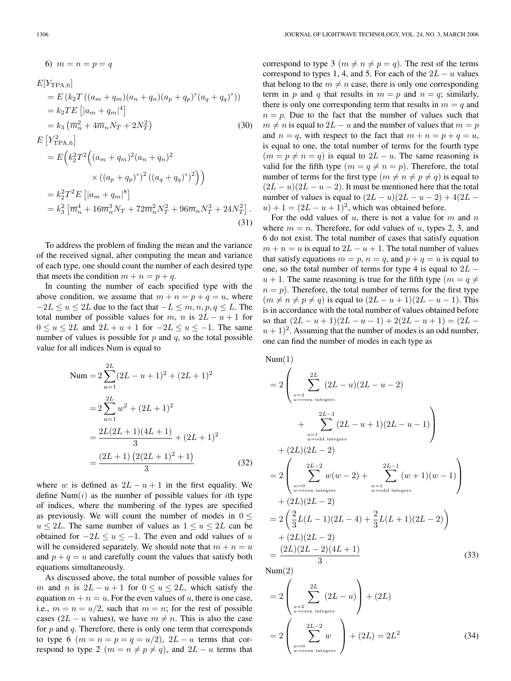6)  $m = n = p = q$ 

$$
E[Y_{\text{TPA},6}]
$$
  
=  $E (k_2 T ((a_m + q_m)(a_n + q_n)(a_p + q_p)^*(a_q + q_q)^*))$   
=  $k_2 TE [a_m + q_m]^4$ ]  
=  $k_3 (\overline{m}_n^2 + 4 \overline{m}_n N_T + 2N_T^2)$  (30)  
 $E [Y_{\text{TPA},6}^2]$   
=  $E (k_2^2 T^2 ((a_m + q_m)^2 (a_n + q_n)^2$   
 $\times ((a_p + q_p)^*)^2 ((a_q + q_q)^*)^2))$   
=  $k_2^2 T^2 E [a_m + q_m]^8$   
=  $k_3^2 [\overline{m}_n^4 + 16 \overline{m}_n^3 N_T + 72 \overline{m}_n^2 N_T^2 + 96 \overline{m}_n N_T^3 + 24N_T^2].$  (31)

To address the problem of finding the mean and the variance of the received signal, after computing the mean and variance of each type, one should count the number of each desired type that meets the condition  $m + n = p + q$ .

In counting the number of each specified type with the above condition, we assume that  $m + n = p + q = u$ , where  $-2L \le u \le 2L$  due to the fact that  $-L \le m, n, p, q \le L$ . The total number of possible values for m, n is  $2L - u + 1$  for  $0 \le u \le 2L$  and  $2L + u + 1$  for  $-2L \le u \le -1$ . The same number of values is possible for  $p$  and  $q$ , so the total possible value for all indices Num is equal to

Num = 
$$
2\sum_{u=1}^{2L} (2L - u + 1)^2 + (2L + 1)^2
$$
  
= 
$$
2\sum_{u=1}^{2L} w^2 + (2L + 1)^2
$$
  
= 
$$
\frac{2L(2L + 1)(4L + 1)}{3} + (2L + 1)^2
$$
  
= 
$$
\frac{(2L + 1) (2(2L + 1)^2 + 1)}{3}
$$
(32)

where w is defined as  $2L - u + 1$  in the first equality. We define  $Num(i)$  as the number of possible values for *i*th type of indices, where the numbering of the types are specified as previously. We will count the number of modes in  $0 \leq$  $u \leq 2L$ . The same number of values as  $1 \leq u \leq 2L$  can be obtained for  $-2L \le u \le -1$ . The even and odd values of u will be considered separately. We should note that  $m + n = u$ and  $p + q = u$  and carefully count the values that satisfy both equations simultaneously.

As discussed above, the total number of possible values for m and n is  $2L - u + 1$  for  $0 \le u \le 2L$ , which satisfy the equation  $m + n = u$ . For the even values of u, there is one case, i.e.,  $m = n = u/2$ , such that  $m = n$ ; for the rest of possible cases (2L – u values), we have  $m \neq n$ . This is also the case for  $p$  and  $q$ . Therefore, there is only one term that corresponds to type 6 ( $m = n = p = q = u/2$ ),  $2L - u$  terms that correspond to type 2 ( $m = n \neq p \neq q$ ), and  $2L - u$  terms that correspond to type 3 ( $m \neq n \neq p = q$ ). The rest of the terms correspond to types 1, 4, and 5. For each of the  $2L - u$  values that belong to the  $m \neq n$  case, there is only one corresponding term in p and q that results in  $m = p$  and  $n = q$ ; similarly, there is only one corresponding term that results in  $m = q$  and  $n = p$ . Due to the fact that the number of values such that  $m \neq n$  is equal to  $2L - u$  and the number of values that  $m = p$ and  $n = q$ , with respect to the fact that  $m + n = p + q = u$ , is equal to one, the total number of terms for the fourth type  $(m = p \neq n = q)$  is equal to  $2L - u$ . The same reasoning is valid for the fifth type  $(m = q \neq n = p)$ . Therefore, the total number of terms for the first type  $(m \neq n \neq p \neq q)$  is equal to  $(2L - u)(2L - u - 2)$ . It must be mentioned here that the total number of values is equal to  $(2L – u)(2L – u – 2) + 4(2L – u)$  $u$ ) + 1 =  $(2L - u + 1)^2$ , which was obtained before.

For the odd values of  $u$ , there is not a value for  $m$  and  $n$ where  $m = n$ . Therefore, for odd values of u, types 2, 3, and 6 do not exist. The total number of cases that satisfy equation  $m + n = u$  is equal to  $2L - u + 1$ . The total number of values that satisfy equations  $m = p$ ,  $n = q$ , and  $p + q = u$  is equal to one, so the total number of terms for type 4 is equal to  $2L$  $u + 1$ . The same reasoning is true for the fifth type  $(m = q \neq 1)$  $n = p$ ). Therefore, the total number of terms for the first type  $(m \neq n \neq p \neq q)$  is equal to  $(2L - u + 1)(2L - u - 1)$ . This is in accordance with the total number of values obtained before so that  $(2L - u + 1)(2L - u - 1) + 2(2L - u + 1) = (2L (u + 1)^2$ . Assuming that the number of modes is an odd number, one can find the number of modes in each type as

Num(1)  
\n
$$
= 2 \left( \sum_{u=2}^{2L} (2L - u)(2L - u - 2) + \sum_{u=1}^{2L-1} (2L - u + 1)(2L - u - 1) \right)
$$
\n
$$
+ \sum_{u=odd \text{ integers}}^{2L-1} (2L - u + 1)(2L - u - 1) \right)
$$
\n
$$
+ (2L)(2L - 2)
$$
\n
$$
= 2 \left( \sum_{w=0}^{2L-2} w(w - 2) + \sum_{w=1}^{2L-1} (w + 1)(w - 1) \right)
$$
\n
$$
+ (2L)(2L - 2)
$$
\n
$$
= 2 \left( \frac{2}{3}L(L - 1)(2L - 4) + \frac{2}{3}L(L + 1)(2L - 2) \right)
$$
\n
$$
+ (2L)(2L - 2)
$$
\n
$$
= \frac{(2L)(2L - 2)(4L + 1)}{3}
$$
\nNum(2) (33)

 $Num(2)$ 

$$
=2\left(\sum_{\substack{u=2 \text{even integers} \\ u=even \text{ integers}}}^{2L} (2L-u)\right) + (2L)
$$

$$
=2\left(\sum_{\substack{w=0 \\ w=even \text{ integers}}}^{2L-2} w\right) + (2L) = 2L^2
$$
(34)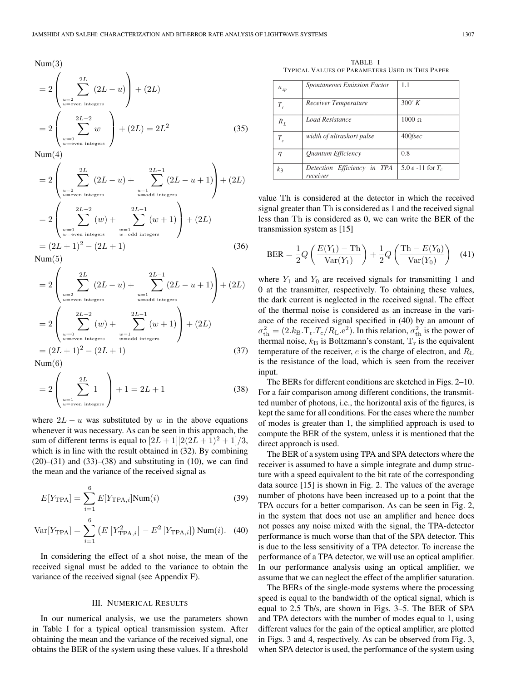$Num(3)$ 

$$
=2\left(\sum_{\substack{u=2 \ u \text{ even integers}}}^{2L} (2L - u)\right) + (2L)
$$

$$
=2\left(\sum_{\substack{w=0 \ w \text{ even integers}}}^{2L-2} w\right) + (2L) = 2L^2
$$
(35)

 $Num(4)$ 

$$
=2\left(\sum_{\substack{u=2 \ u \equiv \text{even integers}}}^{2L} (2L-u) + \sum_{\substack{u=1 \ u \equiv \text{odd integers}}}^{2L-1} (2L-u+1)\right) + (2L)
$$

$$
=2\left(\sum_{\substack{w=0 \ w \equiv \text{even integers}}}^{2L-2} (w) + \sum_{\substack{w=1 \ w \equiv \text{odd integers}}}^{2L-1} (w+1)\right) + (2L)
$$

$$
= (2L+1)^2 - (2L+1) \tag{36}
$$

 $Num(5)$ 

$$
=2\left(\sum_{\substack{u=2 \ u \text{even integers}}}^{2L} (2L-u) + \sum_{\substack{u=1 \ u \text{odd integers}}}^{2L-1} (2L-u+1)\right) + (2L)
$$

$$
=2\left(\sum_{\substack{w=0 \ w \text{even integers}}}^{2L-2} (w) + \sum_{\substack{w=1 \ w \text{odd integers}}}^{2L-1} (w+1)\right) + (2L)
$$

$$
= (2L+1)^2 - (2L+1) \tag{37}
$$

 $Num(6)$ 

$$
=2\left(\sum_{\substack{u=1 \ u \equiv \text{even integers}}}^{2L} 1\right) + 1 = 2L + 1
$$
 (38)

where  $2L - u$  was substituted by w in the above equations whenever it was necessary. As can be seen in this approach, the sum of different terms is equal to  $[2L+1][2(2L+1)^2+1]/3$ , which is in line with the result obtained in  $(32)$ . By combining  $(20)$ – $(31)$  and  $(33)$ – $(38)$  and substituting in  $(10)$ , we can find the mean and the variance of the received signal as

$$
E[Y_{\text{TPA}}] = \sum_{i=1}^{6} E[Y_{\text{TPA},i} | \text{Num}(i) \tag{39}
$$

Var[Y<sub>TPA</sub>] = 
$$
\sum_{i=1}^{6} (E[Y_{\text{TPA},i}^{2}] - E^{2}[Y_{\text{TPA},i}]) \text{Num}(i)
$$
. (40)

In considering the effect of a shot noise, the mean of the received signal must be added to the variance to obtain the variance of the received signal (see Appendix F).

#### III. NUMERICAL RESULTS

In our numerical analysis, we use the parameters shown in Table I for a typical optical transmission system. After obtaining the mean and the variance of the received signal, one obtains the BER of the system using these values. If a threshold

TABLE I TYPICAL VALUES OF PARAMETERS USED IN THIS PAPER

| $n_{sp}$ | Spontaneous Emission Factor             | 1.1                   |
|----------|-----------------------------------------|-----------------------|
| $T_{r}$  | Receiver Temperature                    | $300^\circ K$         |
| $R_L$    | Load Resistance                         | $1000 \Omega$         |
| $T_c$    | width of ultrashort pulse               | $400$ fsec            |
| η        | Quantum Efficiency                      | 0.8                   |
| $k_3$    | Detection Efficiency in TPA<br>receiver | 5.0 $e$ -11 for $T_c$ |

value Th is considered at the detector in which the received signal greater than Th is considered as 1 and the received signal less than Th is considered as 0, we can write the BER of the transmission system as [15]

$$
BER = \frac{1}{2}Q\left(\frac{E(Y_1) - Th}{Var(Y_1)}\right) + \frac{1}{2}Q\left(\frac{Th - E(Y_0)}{Var(Y_0)}\right)
$$
(41)

where  $Y_1$  and  $Y_0$  are received signals for transmitting 1 and 0 at the transmitter, respectively. To obtaining these values, the dark current is neglected in the received signal. The effect of the thermal noise is considered as an increase in the variance of the received signal specified in (40) by an amount of  $\sigma_{\text{th}}^2 = (2.k_{\text{B}}.\text{T}_{\text{r}}.\text{T}_{\text{c}}/R_{\text{L}}.\text{e}^2)$ . In this relation,  $\sigma_{\text{th}}^2$  is the power of thermal noise,  $k_B$  is Boltzmann's constant,  $T_r$  is the equivalent temperature of the receiver, e is the charge of electron, and  $R_{\rm L}$ is the resistance of the load, which is seen from the receiver input.

The BERs for different conditions are sketched in Figs. 2–10. For a fair comparison among different conditions, the transmitted number of photons, i.e., the horizontal axis of the figures, is kept the same for all conditions. For the cases where the number of modes is greater than 1, the simplified approach is used to compute the BER of the system, unless it is mentioned that the direct approach is used.

The BER of a system using TPA and SPA detectors where the receiver is assumed to have a simple integrate and dump structure with a speed equivalent to the bit rate of the corresponding data source [15] is shown in Fig. 2. The values of the average number of photons have been increased up to a point that the TPA occurs for a better comparison. As can be seen in Fig. 2, in the system that does not use an amplifier and hence does not posses any noise mixed with the signal, the TPA-detector performance is much worse than that of the SPA detector. This is due to the less sensitivity of a TPA detector. To increase the performance of a TPA detector, we will use an optical amplifier. In our performance analysis using an optical amplifier, we assume that we can neglect the effect of the amplifier saturation.

The BERs of the single-mode systems where the processing speed is equal to the bandwidth of the optical signal, which is equal to 2.5 Tb/s, are shown in Figs. 3–5. The BER of SPA and TPA detectors with the number of modes equal to 1, using different values for the gain of the optical amplifier, are plotted in Figs. 3 and 4, respectively. As can be observed from Fig. 3, when SPA detector is used, the performance of the system using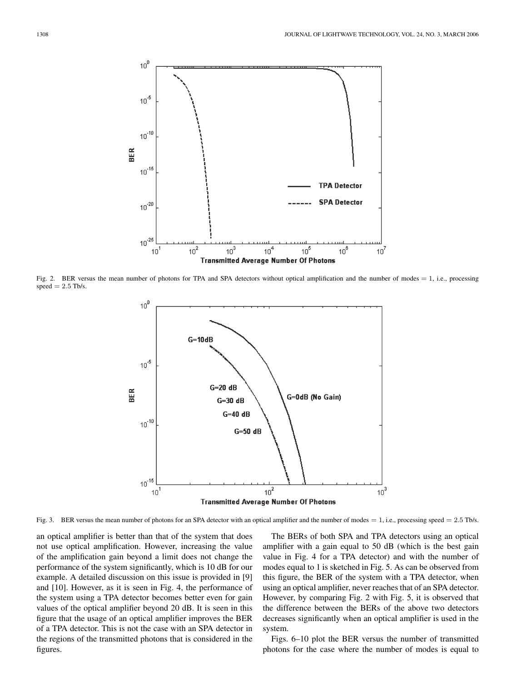

Fig. 2. BER versus the mean number of photons for TPA and SPA detectors without optical amplification and the number of modes = 1, i.e., processing  $speed = 2.5$  Tb/s.



Fig. 3. BER versus the mean number of photons for an SPA detector with an optical amplifier and the number of modes = 1, i.e., processing speed = 2.5 Tb/s.

an optical amplifier is better than that of the system that does not use optical amplification. However, increasing the value of the amplification gain beyond a limit does not change the performance of the system significantly, which is 10 dB for our example. A detailed discussion on this issue is provided in [9] and [10]. However, as it is seen in Fig. 4, the performance of the system using a TPA detector becomes better even for gain values of the optical amplifier beyond 20 dB. It is seen in this figure that the usage of an optical amplifier improves the BER of a TPA detector. This is not the case with an SPA detector in the regions of the transmitted photons that is considered in the figures.

The BERs of both SPA and TPA detectors using an optical amplifier with a gain equal to 50 dB (which is the best gain value in Fig. 4 for a TPA detector) and with the number of modes equal to 1 is sketched in Fig. 5. As can be observed from this figure, the BER of the system with a TPA detector, when using an optical amplifier, never reaches that of an SPA detector. However, by comparing Fig. 2 with Fig. 5, it is observed that the difference between the BERs of the above two detectors decreases significantly when an optical amplifier is used in the system.

Figs. 6–10 plot the BER versus the number of transmitted photons for the case where the number of modes is equal to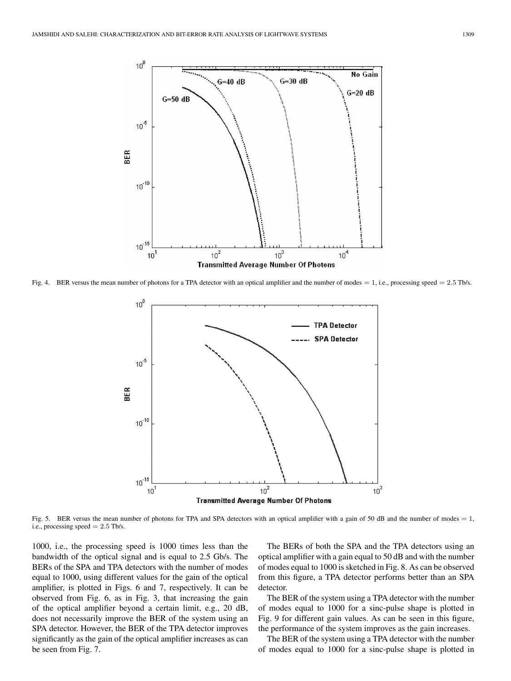

Fig. 4. BER versus the mean number of photons for a TPA detector with an optical amplifier and the number of modes = 1, i.e., processing speed = 2.5 Tb/s.



Fig. 5. BER versus the mean number of photons for TPA and SPA detectors with an optical amplifier with a gain of 50 dB and the number of modes = 1, i.e., processing speed  $= 2.5$  Tb/s.

1000, i.e., the processing speed is 1000 times less than the bandwidth of the optical signal and is equal to 2.5 Gb/s. The BERs of the SPA and TPA detectors with the number of modes equal to 1000, using different values for the gain of the optical amplifier, is plotted in Figs. 6 and 7, respectively. It can be observed from Fig. 6, as in Fig. 3, that increasing the gain of the optical amplifier beyond a certain limit, e.g., 20 dB, does not necessarily improve the BER of the system using an SPA detector. However, the BER of the TPA detector improves significantly as the gain of the optical amplifier increases as can be seen from Fig. 7.

The BERs of both the SPA and the TPA detectors using an optical amplifier with a gain equal to 50 dB and with the number of modes equal to 1000 is sketched in Fig. 8. As can be observed from this figure, a TPA detector performs better than an SPA detector.

The BER of the system using a TPA detector with the number of modes equal to 1000 for a sinc-pulse shape is plotted in Fig. 9 for different gain values. As can be seen in this figure, the performance of the system improves as the gain increases.

The BER of the system using a TPA detector with the number of modes equal to 1000 for a sinc-pulse shape is plotted in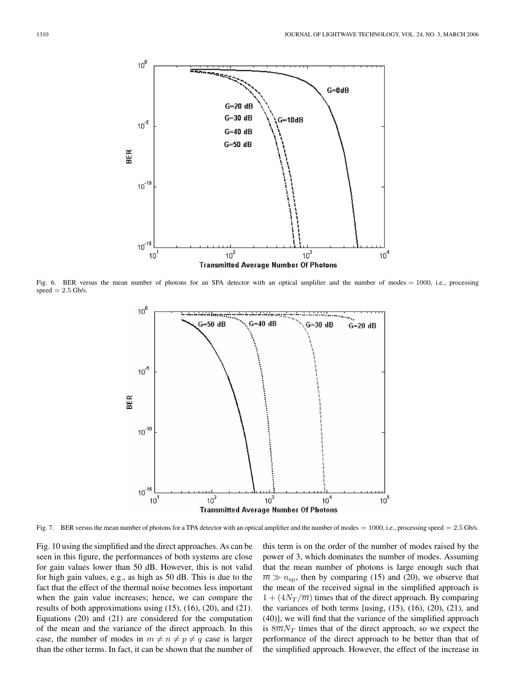

Fig. 6. BER versus the mean number of photons for an SPA detector with an optical amplifier and the number of modes = 1000, i.e., processing  $speed = 2.5$  Gb/s.



Fig. 7. BER versus the mean number of photons for a TPA detector with an optical amplifier and the number of modes = 1000, i.e., processing speed = 2.5 Gb/s.

Fig. 10 using the simplified and the direct approaches. As can be seen in this figure, the performances of both systems are close for gain values lower than 50 dB. However, this is not valid for high gain values, e.g., as high as 50 dB. This is due to the fact that the effect of the thermal noise becomes less important when the gain value increases; hence, we can compare the results of both approximations using (15), (16), (20), and (21). Equations (20) and (21) are considered for the computation of the mean and the variance of the direct approach. In this case, the number of modes in  $m \neq n \neq p \neq q$  case is larger than the other terms. In fact, it can be shown that the number of this term is on the order of the number of modes raised by the power of 3, which dominates the number of modes. Assuming that the mean number of photons is large enough such that  $\overline{m} \gg n_{\rm sp}$ , then by comparing (15) and (20), we observe that the mean of the received signal in the simplified approach is  $1 + (4N<sub>T</sub>/\overline{m})$  times that of the direct approach. By comparing the variances of both terms [using,  $(15)$ ,  $(16)$ ,  $(20)$ ,  $(21)$ , and (40)], we will find that the variance of the simplified approach is  $8\overline{m}N_T$  times that of the direct approach, so we expect the performance of the direct approach to be better than that of the simplified approach. However, the effect of the increase in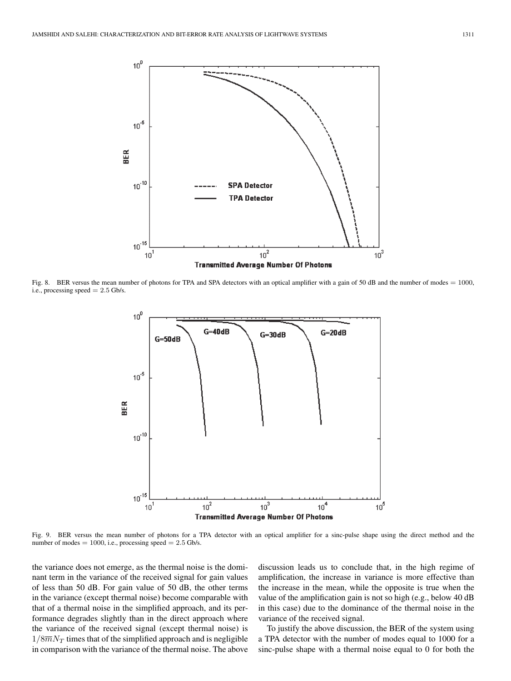

Fig. 8. BER versus the mean number of photons for TPA and SPA detectors with an optical amplifier with a gain of 50 dB and the number of modes = 1000, i.e., processing speed  $= 2.5$  Gb/s.



Fig. 9. BER versus the mean number of photons for a TPA detector with an optical amplifier for a sinc-pulse shape using the direct method and the number of modes  $= 1000$ , i.e., processing speed  $= 2.5$  Gb/s.

the variance does not emerge, as the thermal noise is the dominant term in the variance of the received signal for gain values of less than 50 dB. For gain value of 50 dB, the other terms in the variance (except thermal noise) become comparable with that of a thermal noise in the simplified approach, and its performance degrades slightly than in the direct approach where the variance of the received signal (except thermal noise) is  $1/8\overline{m}N_T$  times that of the simplified approach and is negligible in comparison with the variance of the thermal noise. The above discussion leads us to conclude that, in the high regime of amplification, the increase in variance is more effective than the increase in the mean, while the opposite is true when the value of the amplification gain is not so high (e.g., below 40 dB in this case) due to the dominance of the thermal noise in the variance of the received signal.

To justify the above discussion, the BER of the system using a TPA detector with the number of modes equal to 1000 for a sinc-pulse shape with a thermal noise equal to 0 for both the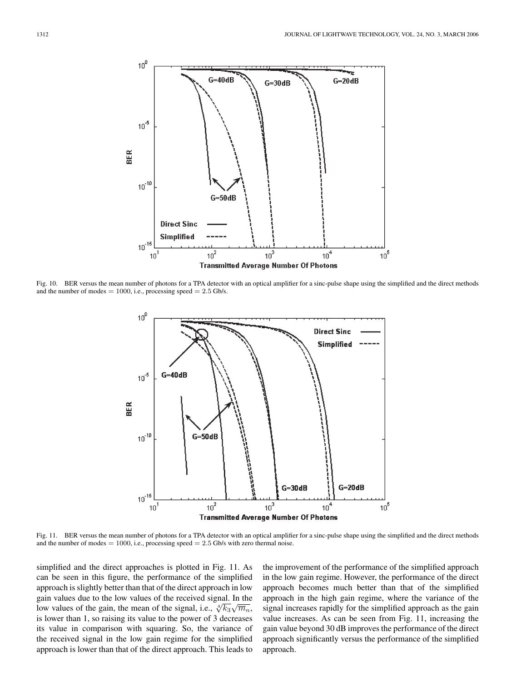

Fig. 10. BER versus the mean number of photons for a TPA detector with an optical amplifier for a sinc-pulse shape using the simplified and the direct methods and the number of modes  $= 1000$ , i.e., processing speed  $= 2.5$  Gb/s.



Fig. 11. BER versus the mean number of photons for a TPA detector with an optical amplifier for a sinc-pulse shape using the simplified and the direct methods and the number of modes  $= 1000$ , i.e., processing speed  $= 2.5$  Gb/s with zero thermal noise.

simplified and the direct approaches is plotted in Fig. 11. As can be seen in this figure, the performance of the simplified approach is slightly better than that of the direct approach in low gain values due to the low values of the received signal. In the low values of the gain, the mean of the signal, i.e.,  $\sqrt[4]{k_3}\sqrt{\overline{m}_n}$ , is lower than 1, so raising its value to the power of 3 decreases its value in comparison with squaring. So, the variance of the received signal in the low gain regime for the simplified approach is lower than that of the direct approach. This leads to the improvement of the performance of the simplified approach in the low gain regime. However, the performance of the direct approach becomes much better than that of the simplified approach in the high gain regime, where the variance of the signal increases rapidly for the simplified approach as the gain value increases. As can be seen from Fig. 11, increasing the gain value beyond 30 dB improves the performance of the direct approach significantly versus the performance of the simplified approach.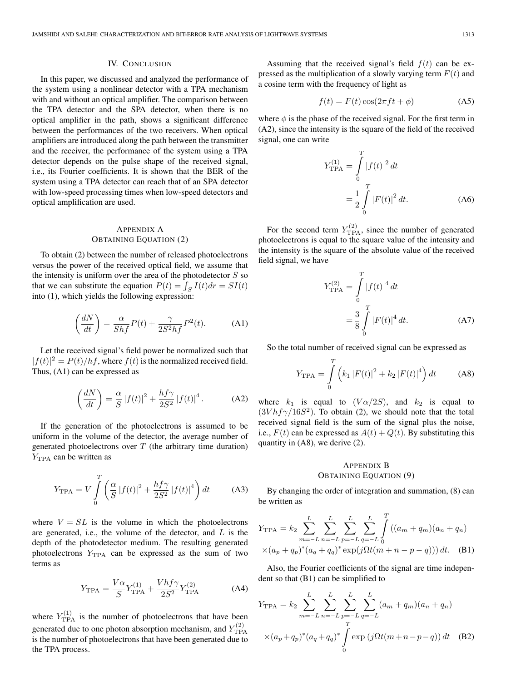#### IV. CONCLUSION

In this paper, we discussed and analyzed the performance of the system using a nonlinear detector with a TPA mechanism with and without an optical amplifier. The comparison between the TPA detector and the SPA detector, when there is no optical amplifier in the path, shows a significant difference between the performances of the two receivers. When optical amplifiers are introduced along the path between the transmitter and the receiver, the performance of the system using a TPA detector depends on the pulse shape of the received signal, i.e., its Fourier coefficients. It is shown that the BER of the system using a TPA detector can reach that of an SPA detector with low-speed processing times when low-speed detectors and optical amplification are used.

## APPENDIX A OBTAINING EQUATION (2)

To obtain (2) between the number of released photoelectrons versus the power of the received optical field, we assume that the intensity is uniform over the area of the photodetector  $S$  so that we can substitute the equation  $P(t) = \int_S I(t) dr = SI(t)$ into (1), which yields the following expression:

$$
\left(\frac{dN}{dt}\right) = \frac{\alpha}{Shf}P(t) + \frac{\gamma}{2S^2hf}P^2(t).
$$
 (A1)

Let the received signal's field power be normalized such that  $|f(t)|^2 = P(t)/hf$ , where  $f(t)$  is the normalized received field. Thus, (A1) can be expressed as

$$
\left(\frac{dN}{dt}\right) = \frac{\alpha}{S} \left|f(t)\right|^2 + \frac{hf\gamma}{2S^2} \left|f(t)\right|^4. \tag{A2}
$$

If the generation of the photoelectrons is assumed to be uniform in the volume of the detector, the average number of generated photoelectrons over  $T$  (the arbitrary time duration)  $Y_{\text{TPA}}$  can be written as

$$
Y_{\text{TPA}} = V \int_{0}^{T} \left( \frac{\alpha}{S} |f(t)|^2 + \frac{hf\gamma}{2S^2} |f(t)|^4 \right) dt \tag{A3}
$$

where  $V = SL$  is the volume in which the photoelectrons are generated, i.e., the volume of the detector, and  $L$  is the depth of the photodetector medium. The resulting generated photoelectrons  $Y_{\text{TPA}}$  can be expressed as the sum of two terms as

$$
Y_{\rm TPA} = \frac{V\alpha}{S} Y_{\rm TPA}^{(1)} + \frac{Vhf\gamma}{2S^2} Y_{\rm TPA}^{(2)} \tag{A4}
$$

where  $Y_{\text{TPA}}^{(1)}$  is the number of photoelectrons that have been generated due to one photon absorption mechanism, and  $Y_{\text{TPA}}^{(2)}$ is the number of photoelectrons that have been generated due to the TPA process.

Assuming that the received signal's field  $f(t)$  can be expressed as the multiplication of a slowly varying term  $F(t)$  and a cosine term with the frequency of light as

$$
f(t) = F(t)\cos(2\pi ft + \phi)
$$
 (A5)

where  $\phi$  is the phase of the received signal. For the first term in (A2), since the intensity is the square of the field of the received signal, one can write

$$
Y_{\text{TPA}}^{(1)} = \int_{0}^{T} |f(t)|^2 dt
$$
  
= 
$$
\frac{1}{2} \int_{0}^{T} |F(t)|^2 dt.
$$
 (A6)

For the second term  $Y_{\text{TPA}}^{(2)}$ , since the number of generated photoelectrons is equal to the square value of the intensity and the intensity is the square of the absolute value of the received field signal, we have

$$
Y_{\text{TPA}}^{(2)} = \int_{0}^{T} |f(t)|^4 dt
$$
  
=  $\frac{3}{8} \int_{0}^{T} |F(t)|^4 dt$ . (A7)

So the total number of received signal can be expressed as

$$
Y_{\text{TPA}} = \int_{0}^{T} \left( k_1 |F(t)|^2 + k_2 |F(t)|^4 \right) dt \tag{A8}
$$

where  $k_1$  is equal to  $(V\alpha/2S)$ , and  $k_2$  is equal to  $(3Vhf\gamma/16S^2)$ . To obtain (2), we should note that the total received signal field is the sum of the signal plus the noise, i.e.,  $F(t)$  can be expressed as  $A(t) + Q(t)$ . By substituting this quantity in (A8), we derive (2).

## APPENDIX B OBTAINING EQUATION (9)

By changing the order of integration and summation, (8) can be written as

$$
Y_{\text{TPA}} = k_2 \sum_{m=-L}^{L} \sum_{n=-L}^{L} \sum_{p=-L}^{L} \sum_{q=-L}^{L} \int_{0}^{T} ((a_m + q_m)(a_n + q_n) \times (a_p + q_p)^*(a_q + q_q)^* \exp(j\Omega t(m + n - p - q))) dt.
$$
 (B1)

Also, the Fourier coefficients of the signal are time independent so that (B1) can be simplified to

$$
Y_{\text{TPA}} = k_2 \sum_{m=-L}^{L} \sum_{n=-L}^{L} \sum_{p=-L}^{L} \sum_{q=-L}^{L} (a_m + q_m)(a_n + q_n)
$$
  
 
$$
\times (a_p + q_p)^* (a_q + q_q)^* \int_0^T \exp(j\Omega t(m + n - p - q)) dt \quad \text{(B2)}
$$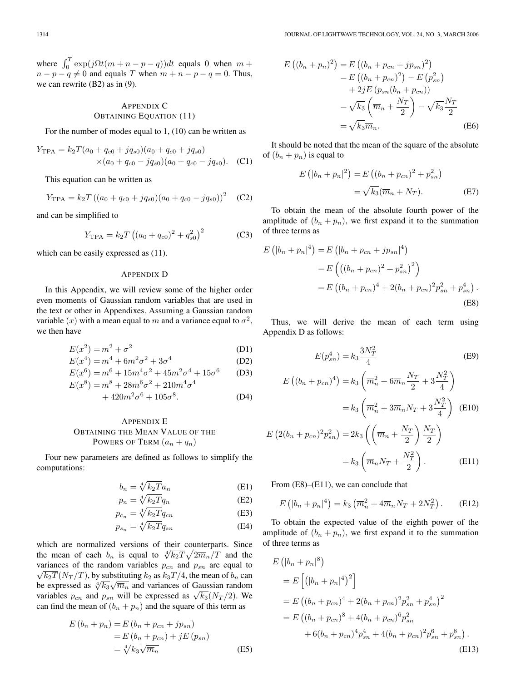where  $\int_0^T \exp(j\Omega t(m + n - p - q))dt$  equals 0 when  $m +$  $n - p - q \neq 0$  and equals T when  $m + n - p - q = 0$ . Thus, we can rewrite (B2) as in (9).

# APPENDIX C OBTAINING EQUATION (11)

For the number of modes equal to 1, (10) can be written as

$$
Y_{\text{TPA}} = k_2 T (a_0 + q_{c0} + j q_{s0}) (a_0 + q_{c0} + j q_{s0})
$$
  
×(a\_0 + q\_{c0} - j q\_{s0}) (a\_0 + q\_{c0} - j q\_{s0}). (C1)

This equation can be written as

$$
Y_{\text{TPA}} = k_2 T ((a_0 + q_{c0} + j q_{s0}) (a_0 + q_{c0} - j q_{s0}))^2
$$
 (C2)

and can be simplified to

$$
Y_{\rm TPA} = k_2 T \left( (a_0 + q_{c0})^2 + q_{s0}^2 \right)^2 \tag{C3}
$$

which can be easily expressed as  $(11)$ .

#### APPENDIX D

In this Appendix, we will review some of the higher order even moments of Gaussian random variables that are used in the text or other in Appendixes. Assuming a Gaussian random variable (x) with a mean equal to m and a variance equal to  $\sigma^2$ , we then have

$$
E(x^2) = m^2 + \sigma^2 \tag{D1}
$$

$$
E(x^4) = m^4 + 6m^2\sigma^2 + 3\sigma^4
$$
 (D2)

$$
E(x^{6}) = m^{6} + 15m^{4}\sigma^{2} + 45m^{2}\sigma^{4} + 15\sigma^{6}
$$
 (D3)  

$$
E(x^{8}) = m^{8} + 28m^{6}\sigma^{2} + 210m^{4}\sigma^{4}
$$

$$
+ 420m^2\sigma^6 + 105\sigma^8. \tag{D4}
$$

# APPENDIX E OBTAINING THE MEAN VALUE OF THE POWERS OF TERM  $(a_n + q_n)$

Four new parameters are defined as follows to simplify the computations:

$$
b_n = \sqrt[4]{k_2 T} a_n \tag{E1}
$$

$$
p_n = \sqrt[4]{k_2 T} q_n \tag{E2}
$$

$$
p_{c_n} = \sqrt[4]{k_2 T} q_{cn} \tag{E3}
$$

$$
p_{s_n} = \sqrt[4]{k_2 T} q_{sn} \tag{E4}
$$

which are normalized versions of their counterparts. Since the mean of each  $b_n$  is equal to  $\sqrt[4]{k_2T}\sqrt{2m_n/T}$  and the variances of the random variables  $p_{cn}$  and  $p_{sn}$  are equal to  $\sqrt{k_2T}(N_T/T)$ , by substituting  $k_2$  as  $k_3T/4$ , the mean of  $b_n$  can be expressed as  $\sqrt[4]{k_3}\sqrt{\overline{m}_n}$  and variances of Gaussian random variables  $p_{cn}$  and  $p_{sn}$  will be expressed as  $\sqrt{k_3}(N_T/2)$ . We can find the mean of  $(b_n + p_n)$  and the square of this term as

$$
E(b_n + p_n) = E(b_n + p_{cn} + j p_{sn})
$$
  
= 
$$
E(b_n + p_{cn}) + j E(p_{sn})
$$
  
= 
$$
\sqrt[4]{k_3} \sqrt{\overline{m}_n}
$$
 (E5)

$$
E\left((b_n + p_n)^2\right) = E\left((b_n + p_{cn} + j p_{sn})^2\right)
$$
  
\n
$$
= E\left((b_n + p_{cn})^2\right) - E\left(p_{sn}^2\right)
$$
  
\n
$$
+ 2jE\left(p_{sn}(b_n + p_{cn})\right)
$$
  
\n
$$
= \sqrt{k_3}\left(\overline{m}_n + \frac{N_T}{2}\right) - \sqrt{k_3}\frac{N_T}{2}
$$
  
\n
$$
= \sqrt{k_3}\overline{m}_n.
$$
 (E6)

It should be noted that the mean of the square of the absolute of  $(b_n + p_n)$  is equal to

$$
E(|b_n + p_n|^2) = E((b_n + p_{cn})^2 + p_{sn}^2)
$$
  
=  $\sqrt{k_3}(\overline{m}_n + N_T).$  (E7)

To obtain the mean of the absolute fourth power of the amplitude of  $(b_n + p_n)$ , we first expand it to the summation of three terms as

$$
E(|b_n + p_n|^4) = E(|b_n + p_{cn} + j p_{sn}|^4)
$$
  
= 
$$
E((b_n + p_{cn})^2 + p_{sn}^2)^2)
$$
  
= 
$$
E((b_n + p_{cn})^4 + 2(b_n + p_{cn})^2 p_{sn}^2 + p_{sn}^4).
$$
(E8)

Thus, we will derive the mean of each term using Appendix D as follows:

$$
E(p_{sn}^4) = k_3 \frac{3N_T^2}{4}
$$
 (E9)

$$
E((b_n + p_{cn})^4) = k_3 \left( \overline{m}_n^2 + 6\overline{m}_n \frac{N_T}{2} + 3\frac{N_T^2}{4} \right)
$$
  

$$
= k_3 \left( \overline{m}_n^2 + 3\overline{m}_n N_T + 3\frac{N_T^2}{4} \right) \quad (E10)
$$
  

$$
E\left( 2(b_n + p_{cn})^2 p_{sn}^2 \right) = 2k_3 \left( \left( \overline{m}_n + \frac{N_T}{2} \right) \frac{N_T}{2} \right)
$$

$$
=k_3\left(\overline{m}_nN_T+\frac{N_T^2}{2}\right). \tag{E11}
$$

From  $(E8)$ – $(E11)$ , we can conclude that

$$
E\left(|b_n + p_n|^4\right) = k_3 \left(\overline{m}_n^2 + 4\overline{m}_n N_T + 2N_T^2\right). \tag{E12}
$$

To obtain the expected value of the eighth power of the amplitude of  $(b_n + p_n)$ , we first expand it to the summation of three terms as

$$
E(|b_n + p_n|^8)
$$
  
=  $E[(|b_n + p_n|^4)^2]$   
=  $E((b_n + p_{cn})^4 + 2(b_n + p_{cn})^2 p_{sn}^2 + p_{sn}^4)^2$   
=  $E((b_n + p_{cn})^8 + 4(b_n + p_{cn})^6 p_{sn}^2 + 6(b_n + p_{cn})^4 p_{sn}^4 + 4(b_n + p_{cn})^2 p_{sn}^6 + p_{sn}^8).$  (E13)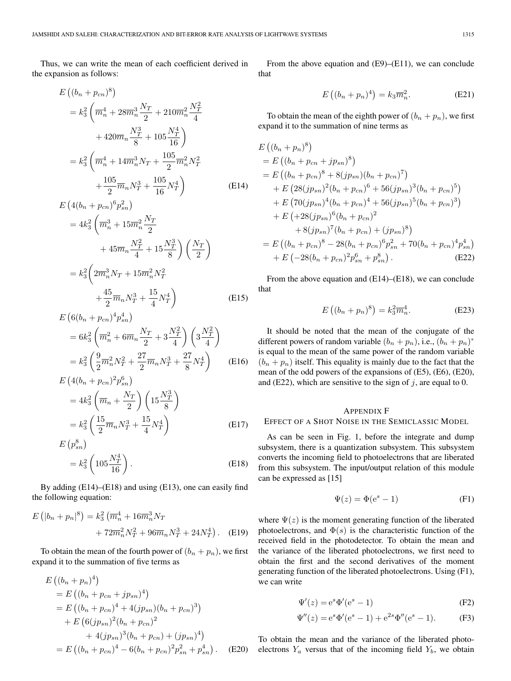Thus, we can write the mean of each coefficient derived in the expansion as follows:

$$
E\left((b_n + p_{cn})^8\right)
$$
  
=  $k_3^2 \left(\overline{m}_n^4 + 28\overline{m}_n^3 \frac{N_T}{2} + 210\overline{m}_n^2 \frac{N_T^2}{4} + 420\overline{m}_n \frac{N_T^3}{8} + 105 \frac{N_T^4}{16}\right)$   
=  $k_3^2 \left(\overline{m}_n^4 + 14\overline{m}_n^3 N_T + \frac{105}{2} \overline{m}_n^2 N_T^2 + \frac{105}{2} \overline{m}_n N_T^3 + \frac{105}{16} N_T^4\right)$  (E14)

$$
E\left(4(b_n + p_{cn})^6 p_{sn}^2\right)
$$
  
=  $4k_3^2 \left(\overline{m}_n^3 + 15\overline{m}_n^2 \frac{N_T}{2} + 45\overline{m}_n \frac{N_T^2}{4} + 15\frac{N_T^3}{8}\right) \left(\frac{N_T}{2}\right)$   
=  $k_3^2 \left(2\overline{m}_n^3 N_T + 15\overline{m}_n^2 N_T^2 + \frac{45}{2} \overline{m}_n N_T^3 + \frac{15}{4} N_T^4\right)$  (E15)

$$
E\left(6(b_n + p_{cn})^4 p_{sn}^4\right)
$$
  
=  $6k_3^2 \left(\overline{m}_n^2 + 6\overline{m}_n \frac{N_T}{2} + 3\frac{N_T^2}{4}\right) \left(3\frac{N_T^2}{4}\right)$   
=  $k_3^2 \left(\frac{9}{2}\overline{m}_n^2 N_T^2 + \frac{27}{2}\overline{m}_n N_T^3 + \frac{27}{8}N_T^4\right)$  (E16)

$$
E\left(4(b_n + p_{cn})^2 p_{sn}^6\right)
$$
  
=  $4k_3^2 \left(\overline{m}_n + \frac{N_T}{2}\right) \left(15 \frac{N_T^3}{8}\right)$   
=  $k_3^2 \left(\frac{15}{2} \overline{m}_n N_T^3 + \frac{15}{4} N_T^4\right)$  (E17)

$$
E(p_{sn}^8)
$$
  
=  $k_3^2 \left(105 \frac{N_T^4}{16}\right)$ . (E18)

By adding (E14)–(E18) and using (E13), one can easily find the following equation:

$$
E\left(|b_n + p_n|^8\right) = k_3^2 \left(\overline{m}_n^4 + 16\overline{m}_n^3 N_T + 72\overline{m}_n^2 N_T^2 + 96\overline{m}_n N_T^3 + 24N_T^4\right). \tag{E19}
$$

To obtain the mean of the fourth power of  $(b_n + p_n)$ , we first expand it to the summation of five terms as

$$
E ((b_n + p_n)^4)
$$
  
=  $E ((b_n + p_{cn} + j p_{sn})^4)$   
=  $E ((b_n + p_{cn})^4 + 4(j p_{sn}) (b_n + p_{cn})^3)$   
+  $E (6(j p_{sn})^2 (b_n + p_{cn})^2$   
+  $4(j p_{sn})^3 (b_n + p_{cn}) + (j p_{sn})^4)$   
=  $E ((b_n + p_{cn})^4 - 6(b_n + p_{cn})^2 p_{sn}^2 + p_{sn}^4)$ . (E20)

From the above equation and  $(E9)$ – $(E11)$ , we can conclude that

$$
E\left((b_n + p_n)^4\right) = k_3 \overline{m}_n^2. \tag{E21}
$$

To obtain the mean of the eighth power of  $(b_n + p_n)$ , we first expand it to the summation of nine terms as

$$
E((b_n + p_n)^8)
$$
  
=  $E((b_n + p_{cn} + j p_{sn})^8)$   
=  $E((b_n + p_{cn})^8 + 8(j p_{sn})(b_n + p_{cn})^7)$   
+  $E(28(j p_{sn})^2(b_n + p_{cn})^6 + 56(j p_{sn})^3(b_n + p_{cn})^5)$   
+  $E(70(j p_{sn})^4(b_n + p_{cn})^4 + 56(j p_{sn})^5(b_n + p_{cn})^3)$   
+  $E(+28(j p_{sn})^6(b_n + p_{cn})^2$   
+  $8(j p_{sn})^7(b_n + p_{cn}) + (j p_{sn})^8$ )  
=  $E((b_n + p_{cn})^8 - 28(b_n + p_{cn})^6 p_{sn}^2 + 70(b_n + p_{cn})^4 p_{sn}^4)$   
+  $E(-28(b_n + p_{cn})^2 p_{sn}^6 + p_{sn}^8)$ . (E22)

From the above equation and (E14)–(E18), we can conclude that

$$
E\left((b_n + p_n)^8\right) = k_3^2 \overline{m}_n^4. \tag{E23}
$$

It should be noted that the mean of the conjugate of the different powers of random variable  $(b_n + p_n)$ , i.e.,  $(b_n + p_n)^*$ is equal to the mean of the same power of the random variable  $(b_n + p_n)$  itself. This equality is mainly due to the fact that the mean of the odd powers of the expansions of (E5), (E6), (E20), and (E22), which are sensitive to the sign of  $j$ , are equal to 0.

## APPENDIX F EFFECT OF A SHOT NOISE IN THE SEMICLASSIC MODEL

As can be seen in Fig. 1, before the integrate and dump subsystem, there is a quantization subsystem. This subsystem converts the incoming field to photoelectrons that are liberated from this subsystem. The input/output relation of this module can be expressed as [15]

$$
\Psi(z) = \Phi(e^s - 1) \tag{F1}
$$

where  $\Psi(z)$  is the moment generating function of the liberated photoelectrons, and  $\Phi(s)$  is the characteristic function of the received field in the photodetector. To obtain the mean and the variance of the liberated photoelectrons, we first need to obtain the first and the second derivatives of the moment generating function of the liberated photoelectrons. Using (F1), we can write

$$
\Psi'(z) = e^s \Phi'(e^s - 1)
$$
\n(F2)

$$
\Psi''(z) = e^s \Phi'(e^s - 1) + e^{2s} \Phi''(e^s - 1).
$$
 (F3)

To obtain the mean and the variance of the liberated photoelectrons  $Y_a$  versus that of the incoming field  $Y_b$ , we obtain